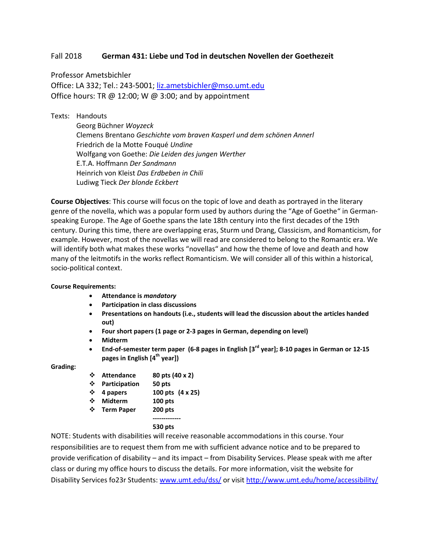### Fall 2018 **German 431: Liebe und Tod in deutschen Novellen der Goethezeit**

Professor Ametsbichler Office: LA 332; Tel.: 243-5001[; liz.ametsbichler@mso.umt.edu](mailto:liz.ametsbichler@mso.umt.edu) Office hours: TR  $\omega$  12:00; W  $\omega$  3:00; and by appointment

Texts: Handouts

Georg Büchner *Woyzeck* Clemens Brentano *Geschichte vom braven Kasperl und dem schönen Annerl* Friedrich de la Motte Fouqué *Undine* Wolfgang von Goethe: *Die Leiden des jungen Werther* E.T.A. Hoffmann *Der Sandmann* Heinrich von Kleist *Das Erdbeben in Chili* Ludiwg Tieck *Der blonde Eckbert*

**Course Objectives**: This course will focus on the topic of love and death as portrayed in the literary genre of the novella, which was a popular form used by authors during the "Age of Goethe" in Germanspeaking Europe. The Age of Goethe spans the late 18th century into the first decades of the 19th century. During this time, there are overlapping eras, Sturm und Drang, Classicism, and Romanticism, for example. However, most of the novellas we will read are considered to belong to the Romantic era. We will identify both what makes these works "novellas" and how the theme of love and death and how many of the leitmotifs in the works reflect Romanticism. We will consider all of this within a historical, socio-political context.

#### **Course Requirements:**

- **Attendance is** *mandatory*
- **Participation in class discussions**
- **Presentations on handouts (i.e., students will lead the discussion about the articles handed out)**
- **Four short papers (1 page or 2-3 pages in German, depending on level)**
- **Midterm**
- **End-of-semester term paper (6-8 pages in English [3rd year]; 8-10 pages in German or 12-15 pages in English [4th year])**

### **Grading:**

- **Attendance 80 pts (40 x 2)**
- **Participation 50 pts**
- **4 papers 100 pts (4 x 25)**
- **Midterm 100 pts**
- **Term Paper 200 pts**
- **-------------**

### **530 pts**

NOTE: Students with disabilities will receive reasonable accommodations in this course. Your responsibilities are to request them from me with sufficient advance notice and to be prepared to provide verification of disability – and its impact – from Disability Services. Please speak with me after class or during my office hours to discuss the details. For more information, visit the website for Disability Services fo23r Students[: www.umt.edu/dss/](http://www.umt.edu/dss/) or visit<http://www.umt.edu/home/accessibility/>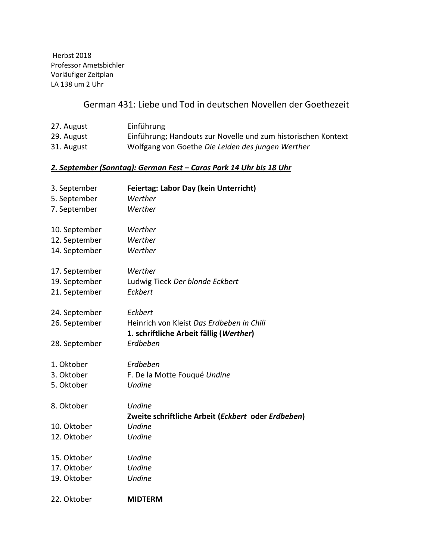Herbst 2018 Professor Ametsbichler Vorläufiger Zeitplan LA 138 um 2 Uhr

# German 431: Liebe und Tod in deutschen Novellen der Goethezeit

| 27. August                                                         | Einführung                                                    |  |
|--------------------------------------------------------------------|---------------------------------------------------------------|--|
| 29. August                                                         | Einführung; Handouts zur Novelle und zum historischen Kontext |  |
| 31. August                                                         | Wolfgang von Goethe Die Leiden des jungen Werther             |  |
| 2. September (Sonntag): German Fest – Caras Park 14 Uhr bis 18 Uhr |                                                               |  |
| 3. September                                                       | <b>Feiertag: Labor Day (kein Unterricht)</b>                  |  |
| 5. September                                                       | Werther                                                       |  |
| 7. September                                                       | Werther                                                       |  |
| 10. September                                                      | Werther                                                       |  |
| 12. September                                                      | Werther                                                       |  |
| 14. September                                                      | Werther                                                       |  |
| 17. September                                                      | Werther                                                       |  |
| 19. September                                                      | Ludwig Tieck Der blonde Eckbert                               |  |
| 21. September                                                      | Eckbert                                                       |  |
| 24. September                                                      | Eckbert                                                       |  |
| 26. September                                                      | Heinrich von Kleist Das Erdbeben in Chili                     |  |
|                                                                    | 1. schriftliche Arbeit fällig (Werther)                       |  |
| 28. September                                                      | Erdbeben                                                      |  |
| 1. Oktober                                                         | Erdbeben                                                      |  |
| 3. Oktober                                                         | F. De la Motte Fouqué Undine                                  |  |
| 5. Oktober                                                         | Undine                                                        |  |
| 8. Oktober                                                         | <b>Undine</b>                                                 |  |
|                                                                    | Zweite schriftliche Arbeit (Eckbert oder Erdbeben)            |  |
| 10. Oktober                                                        | <b>Undine</b>                                                 |  |
| 12. Oktober                                                        | <b>Undine</b>                                                 |  |
| 15. Oktober                                                        | Undine                                                        |  |
| 17. Oktober                                                        | Undine                                                        |  |
| 19. Oktober                                                        | <b>Undine</b>                                                 |  |
| 22. Oktober                                                        | <b>MIDTERM</b>                                                |  |